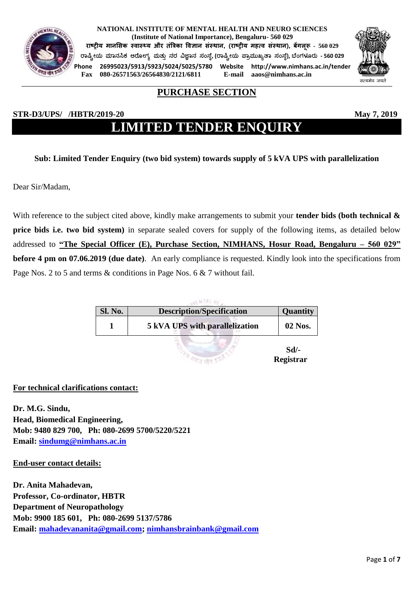

**NATIONAL INSTITUTE OF MENTAL HEALTH AND NEURO SCIENCES (Institute of National Importance), Bengaluru- 560 029 राष्ट्रीय मानसिक स्वास््य और तंत्रिका ववज्ञान िंस्थान, (राष्ट्रीय महत्व िंस्थान), बेंगलूरू - 560 029 ರಾಷ್ಟ್ರೀಯ ಮಾನಸಿಕ ಆರ ೀಗ್ಯ ಮತ್ತುನರ ವಿಜ್ಞಾನ ಸಂಸ್ ೆ, (ರಾಷ್ಟ್ರೀಯ ಪ್ಾಾಮತಖ್ಯತಾ ಸಂಸ್ ೆ), ಬ ಂಗ್ಳೂರತ - 560 029 Phone 26995023/5913/5923/5024/5025/5780 Website http://www.nimhans.ac.in/tender Fax 080-26571563/26564830/2121/6811 E-mail aaos@nimhans.ac.in**



### **STR-D3/UPS/ /HBTR/2019-20** May 7, 2019

# **LIMITED TENDER ENQUIRY**

#### **Sub: Limited Tender Enquiry (two bid system) towards supply of 5 kVA UPS with parallelization**

Dear Sir/Madam,

With reference to the subject cited above, kindly make arrangements to submit your **tender bids (both technical & price bids i.e. two bid system)** in separate sealed covers for supply of the following items, as detailed below addressed to **"The Special Officer (E), Purchase Section, NIMHANS, Hosur Road, Bengaluru – 560 029" before 4 pm on 07.06.2019 (due date)**. An early compliance is requested. Kindly look into the specifications from Page Nos. 2 to 5 and terms & conditions in Page Nos. 6 & 7 without fail.

| <b>Sl. No.</b> | <b>Description/Specification</b><br>Quantity |                        |  |
|----------------|----------------------------------------------|------------------------|--|
|                | 5 kVA UPS with parallelization               | 02 Nos.                |  |
|                |                                              | Sd<br><b>Registrar</b> |  |

#### **For technical clarifications contact:**

**Dr. M.G. Sindu, Head, Biomedical Engineering, Mob: 9480 829 700, Ph: 080-2699 5700/5220/5221 Email: [sindumg@nimhans.ac.in](mailto:sindumg@nimhans.ac.in)**

#### **End-user contact details:**

**Dr. Anita Mahadevan, Professor, Co-ordinator, HBTR Department of Neuropathology Mob: 9900 185 601, Ph: 080-2699 5137/5786 Email: [mahadevananita@gmail.com;](mailto:mahadevananita@gmail.com) [nimhansbrainbank@gmail.com](mailto:nimhansbrainbank@gmail.com)**

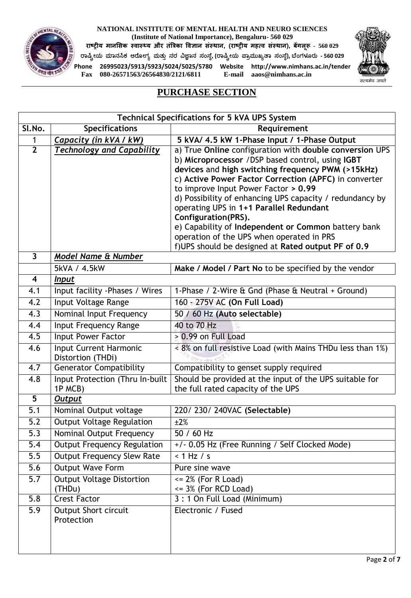

**NATIONAL INSTITUTE OF MENTAL HEALTH AND NEURO SCIENCES (Institute of National Importance), Bengaluru- 560 029**

**राष्ट्रीय मानसिक स्वास््य और तंत्रिका ववज्ञान िंस्थान, (राष्ट्रीय महत्व िंस्थान), बेंगलूरू - 560 029 ರಾಷ್ಟ್ರೀಯ ಮಾನಸಿಕ ಆರ ೀಗ್ಯ ಮತ್ತುನರ ವಿಜ್ಞಾನ ಸಂಸ್ ೆ, (ರಾಷ್ಟ್ರೀಯ ಪ್ಾಾಮತಖ್ಯತಾ ಸಂಸ್ ೆ), ಬ ಂಗ್ಳೂರತ - 560 029 Phone 26995023/5913/5923/5024/5025/5780 Website http://www.nimhans.ac.in/tender**

**Fax** 080-26571563/26564830/2121/6811



|                  | <b>Technical Specifications for 5 kVA UPS System</b> |                                                                                                                                                                                                                                                                                                                                                                                                                                                                                                                                                           |  |  |
|------------------|------------------------------------------------------|-----------------------------------------------------------------------------------------------------------------------------------------------------------------------------------------------------------------------------------------------------------------------------------------------------------------------------------------------------------------------------------------------------------------------------------------------------------------------------------------------------------------------------------------------------------|--|--|
| SI.No.           | <b>Specifications</b>                                | Requirement                                                                                                                                                                                                                                                                                                                                                                                                                                                                                                                                               |  |  |
| 1                | Capacity (in kVA / kW)                               | 5 kVA/ 4.5 kW 1-Phase Input / 1-Phase Output                                                                                                                                                                                                                                                                                                                                                                                                                                                                                                              |  |  |
| $\overline{2}$   | <b>Technology and Capability</b>                     | a) True Online configuration with double conversion UPS<br>b) Microprocessor /DSP based control, using IGBT<br>devices and high switching frequency PWM (>15kHz)<br>c) Active Power Factor Correction (APFC) in converter<br>to improve Input Power Factor > 0.99<br>d) Possibility of enhancing UPS capacity / redundancy by<br>operating UPS in 1+1 Parallel Redundant<br>Configuration(PRS).<br>e) Capability of Independent or Common battery bank<br>operation of the UPS when operated in PRS<br>f)UPS should be designed at Rated output PF of 0.9 |  |  |
| $\mathbf{3}$     | <b>Model Name &amp; Number</b>                       |                                                                                                                                                                                                                                                                                                                                                                                                                                                                                                                                                           |  |  |
|                  | 5kVA / 4.5kW                                         | Make / Model / Part No to be specified by the vendor                                                                                                                                                                                                                                                                                                                                                                                                                                                                                                      |  |  |
| 4                | <b>Input</b>                                         |                                                                                                                                                                                                                                                                                                                                                                                                                                                                                                                                                           |  |  |
| 4.1              | Input facility - Phases / Wires                      | 1-Phase / 2-Wire & Gnd (Phase & Neutral + Ground)                                                                                                                                                                                                                                                                                                                                                                                                                                                                                                         |  |  |
| $\overline{4.2}$ | Input Voltage Range                                  | 160 - 275V AC (On Full Load)                                                                                                                                                                                                                                                                                                                                                                                                                                                                                                                              |  |  |
| 4.3              | Nominal Input Frequency                              | 50 / 60 Hz (Auto selectable)                                                                                                                                                                                                                                                                                                                                                                                                                                                                                                                              |  |  |
| 4.4              | Input Frequency Range                                | 40 to 70 Hz                                                                                                                                                                                                                                                                                                                                                                                                                                                                                                                                               |  |  |
| 4.5              | Input Power Factor                                   | > 0.99 on Full Load                                                                                                                                                                                                                                                                                                                                                                                                                                                                                                                                       |  |  |
| 4.6              | Input Current Harmonic<br>Distortion (THDi)          | < 8% on full resistive Load (with Mains THDu less than 1%)                                                                                                                                                                                                                                                                                                                                                                                                                                                                                                |  |  |
| 4.7              | <b>Generator Compatibility</b>                       | Compatibility to genset supply required                                                                                                                                                                                                                                                                                                                                                                                                                                                                                                                   |  |  |
| 4.8              | Input Protection (Thru In-built<br>1P MCB)           | Should be provided at the input of the UPS suitable for<br>the full rated capacity of the UPS                                                                                                                                                                                                                                                                                                                                                                                                                                                             |  |  |
| $\overline{5}$   | Output                                               |                                                                                                                                                                                                                                                                                                                                                                                                                                                                                                                                                           |  |  |
| 5.1              | Nominal Output voltage                               | 220/230/240VAC (Selectable)                                                                                                                                                                                                                                                                                                                                                                                                                                                                                                                               |  |  |
| 5.2              | <b>Output Voltage Regulation</b>                     | ±2%                                                                                                                                                                                                                                                                                                                                                                                                                                                                                                                                                       |  |  |
| 5.3              | Nominal Output Frequency                             | 50 / 60 Hz                                                                                                                                                                                                                                                                                                                                                                                                                                                                                                                                                |  |  |
| 5.4              | <b>Output Frequency Regulation</b>                   | +/- 0.05 Hz (Free Running / Self Clocked Mode)                                                                                                                                                                                                                                                                                                                                                                                                                                                                                                            |  |  |
| 5.5              | <b>Output Frequency Slew Rate</b>                    | $<$ 1 Hz / s                                                                                                                                                                                                                                                                                                                                                                                                                                                                                                                                              |  |  |
| $\overline{5.6}$ | <b>Output Wave Form</b>                              | Pure sine wave                                                                                                                                                                                                                                                                                                                                                                                                                                                                                                                                            |  |  |
| 5.7              | <b>Output Voltage Distortion</b><br>(THDu)           | $\leq$ 2% (For R Load)<br>$\leq$ 3% (For RCD Load)                                                                                                                                                                                                                                                                                                                                                                                                                                                                                                        |  |  |
| 5.8              | <b>Crest Factor</b>                                  | 3 : 1 On Full Load (Minimum)                                                                                                                                                                                                                                                                                                                                                                                                                                                                                                                              |  |  |
| 5.9              | <b>Output Short circuit</b><br>Protection            | Electronic / Fused                                                                                                                                                                                                                                                                                                                                                                                                                                                                                                                                        |  |  |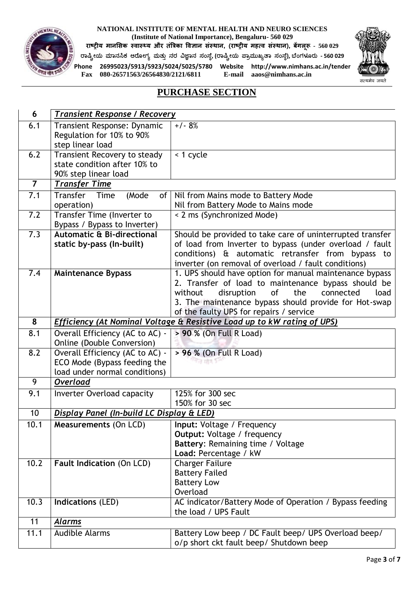

### **NATIONAL INSTITUTE OF MENTAL HEALTH AND NEURO SCIENCES**

**(Institute of National Importance), Bengaluru- 560 029**

**राष्ट्रीय मानसिक स्वास््य और तंत्रिका ववज्ञान िंस्थान, (राष्ट्रीय महत्व िंस्थान), बेंगलूरू - 560 029**

**ರಾಷ್ಟ್ರೀಯ ಮಾನಸಿಕ ಆರ ೀಗ್ಯ ಮತ್ತುನರ ವಿಜ್ಞಾನ ಸಂಸ್ ೆ, (ರಾಷ್ಟ್ರೀಯ ಪ್ಾಾಮತಖ್ಯತಾ ಸಂಸ್ ೆ), ಬ ಂಗ್ಳೂರತ - 560 029 Phone 26995023/5913/5923/5024/5025/5780 Website http://www.nimhans.ac.in/tender Fax** 080-26571563/26564830/2121/6811



| 6                | <b>Transient Response / Recovery</b>      |                                                                         |
|------------------|-------------------------------------------|-------------------------------------------------------------------------|
| 6.1              | Transient Response: Dynamic               | $+/- 8%$                                                                |
|                  | Regulation for 10% to 90%                 |                                                                         |
|                  | step linear load                          |                                                                         |
| 6.2              | Transient Recovery to steady              | < 1 cycle                                                               |
|                  | state condition after 10% to              |                                                                         |
|                  | 90% step linear load                      |                                                                         |
| $\overline{7}$   | <b>Transfer Time</b>                      |                                                                         |
| 7.1              | Transfer<br>Time<br>(Mode                 | of   Nil from Mains mode to Battery Mode                                |
|                  | operation)                                | Nil from Battery Mode to Mains mode                                     |
| 7.2              | Transfer Time (Inverter to                | < 2 ms (Synchronized Mode)                                              |
|                  | Bypass / Bypass to Inverter)              |                                                                         |
| $\overline{7.3}$ | <b>Automatic &amp; Bi-directional</b>     | Should be provided to take care of uninterrupted transfer               |
|                  | static by-pass (In-built)                 | of load from Inverter to bypass (under overload / fault                 |
|                  |                                           | conditions) & automatic retransfer from bypass to                       |
|                  |                                           | inverter (on removal of overload / fault conditions)                    |
| 7.4              | <b>Maintenance Bypass</b>                 | 1. UPS should have option for manual maintenance bypass                 |
|                  |                                           | 2. Transfer of load to maintenance bypass should be                     |
|                  |                                           | <b>of</b><br>disruption<br>the<br>load<br>without<br>connected          |
|                  |                                           | 3. The maintenance bypass should provide for Hot-swap                   |
|                  |                                           | of the faulty UPS for repairs / service                                 |
| 8                |                                           | Efficiency (At Nominal Voltage & Resistive Load up to kW rating of UPS) |
| $\overline{8.1}$ | Overall Efficiency (AC to AC) -           | > 90 % (On Full R Load)                                                 |
|                  | Online (Double Conversion)                |                                                                         |
| 8.2              | Overall Efficiency (AC to AC) -           | > 96 % (On Full R Load)                                                 |
|                  | ECO Mode (Bypass feeding the              |                                                                         |
|                  | load under normal conditions)             |                                                                         |
| 9                | <b>Overload</b>                           |                                                                         |
| 9.1              | <b>Inverter Overload capacity</b>         | 125% for 300 sec                                                        |
|                  |                                           | 150% for 30 sec                                                         |
| 10               | Display Panel (In-build LC Display & LED) |                                                                         |
| 10.1             | <b>Measurements (On LCD)</b>              | Input: Voltage / Frequency                                              |
|                  |                                           | <b>Output: Voltage / frequency</b>                                      |
|                  |                                           | Battery: Remaining time / Voltage                                       |
|                  |                                           | Load: Percentage / kW                                                   |
| 10.2             | <b>Fault Indication (On LCD)</b>          | Charger Failure                                                         |
|                  |                                           | <b>Battery Failed</b>                                                   |
|                  |                                           | <b>Battery Low</b>                                                      |
|                  |                                           | Overload                                                                |
| 10.3             | Indications (LED)                         | AC indicator/Battery Mode of Operation / Bypass feeding                 |
| 11               |                                           | the load / UPS Fault                                                    |
|                  | Alarms                                    |                                                                         |
| 11.1             | <b>Audible Alarms</b>                     | Battery Low beep / DC Fault beep/ UPS Overload beep/                    |
|                  |                                           | o/p short ckt fault beep/ Shutdown beep                                 |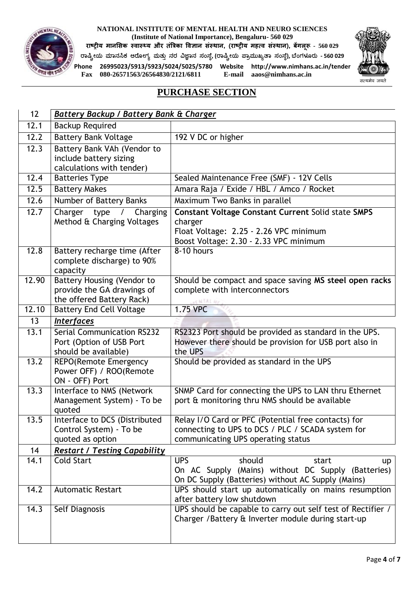

### **NATIONAL INSTITUTE OF MENTAL HEALTH AND NEURO SCIENCES**

**(Institute of National Importance), Bengaluru- 560 029**

**राष्ट्रीय मानसिक स्वास््य और तंत्रिका ववज्ञान िंस्थान, (राष्ट्रीय महत्व िंस्थान), बेंगलूरू - 560 029**

**ರಾಷ್ಟ್ರೀಯ ಮಾನಸಿಕ ಆರ ೀಗ್ಯ ಮತ್ತುನರ ವಿಜ್ಞಾನ ಸಂಸ್ ೆ, (ರಾಷ್ಟ್ರೀಯ ಪ್ಾಾಮತಖ್ಯತಾ ಸಂಸ್ ೆ), ಬ ಂಗ್ಳೂರತ - 560 029 Phone 26995023/5913/5923/5024/5025/5780 Website http://www.nimhans.ac.in/tender Fax** 080-26571563/26564830/2121/6811



| 12    | Battery Backup / Battery Bank & Charger                                                      |                                                                                                                                                          |  |
|-------|----------------------------------------------------------------------------------------------|----------------------------------------------------------------------------------------------------------------------------------------------------------|--|
| 12.1  | <b>Backup Required</b>                                                                       |                                                                                                                                                          |  |
| 12.2  | <b>Battery Bank Voltage</b>                                                                  | 192 V DC or higher                                                                                                                                       |  |
| 12.3  | Battery Bank VAh (Vendor to<br>include battery sizing<br>calculations with tender)           |                                                                                                                                                          |  |
| 12.4  | <b>Batteries Type</b>                                                                        | Sealed Maintenance Free (SMF) - 12V Cells                                                                                                                |  |
| 12.5  | <b>Battery Makes</b>                                                                         | Amara Raja / Exide / HBL / Amco / Rocket                                                                                                                 |  |
| 12.6  | Number of Battery Banks                                                                      | Maximum Two Banks in parallel                                                                                                                            |  |
| 12.7  | Charger type / Charging<br>Method & Charging Voltages                                        | <b>Constant Voltage Constant Current Solid state SMPS</b><br>charger<br>Float Voltage: 2.25 - 2.26 VPC minimum<br>Boost Voltage: 2.30 - 2.33 VPC minimum |  |
| 12.8  | Battery recharge time (After<br>complete discharge) to 90%<br>capacity                       | $8-10$ hours                                                                                                                                             |  |
| 12.90 | <b>Battery Housing (Vendor to</b><br>provide the GA drawings of<br>the offered Battery Rack) | Should be compact and space saving MS steel open racks<br>complete with interconnectors                                                                  |  |
| 12.10 | <b>Battery End Cell Voltage</b>                                                              | 1.75 VPC                                                                                                                                                 |  |
| 13    | <b>Interfaces</b>                                                                            |                                                                                                                                                          |  |
| 13.1  | Serial Communication RS232<br>Port (Option of USB Port<br>should be available)               | RS2323 Port should be provided as standard in the UPS.<br>However there should be provision for USB port also in<br>the UPS                              |  |
| 13.2  | <b>REPO(Remote Emergency</b><br>Power OFF) / ROO(Remote<br>ON - OFF) Port                    | Should be provided as standard in the UPS                                                                                                                |  |
| 13.3  | Interface to NMS (Network<br>Management System) - To be<br>quoted                            | SNMP Card for connecting the UPS to LAN thru Ethernet<br>port & monitoring thru NMS should be available                                                  |  |
| 13.5  | Interface to DCS (Distributed<br>Control System) - To be<br>quoted as option                 | Relay I/O Card or PFC (Potential free contacts) for<br>connecting to UPS to DCS / PLC / SCADA system for<br>communicating UPS operating status           |  |
| 14    | <b>Restart / Testing Capability</b>                                                          |                                                                                                                                                          |  |
| 14.1  | <b>Cold Start</b>                                                                            | <b>UPS</b><br>should<br>start<br>up<br>On AC Supply (Mains) without DC Supply (Batteries)<br>On DC Supply (Batteries) without AC Supply (Mains)          |  |
| 14.2  | <b>Automatic Restart</b>                                                                     | UPS should start up automatically on mains resumption<br>after battery low shutdown                                                                      |  |
| 14.3  | Self Diagnosis                                                                               | UPS should be capable to carry out self test of Rectifier /<br>Charger / Battery & Inverter module during start-up                                       |  |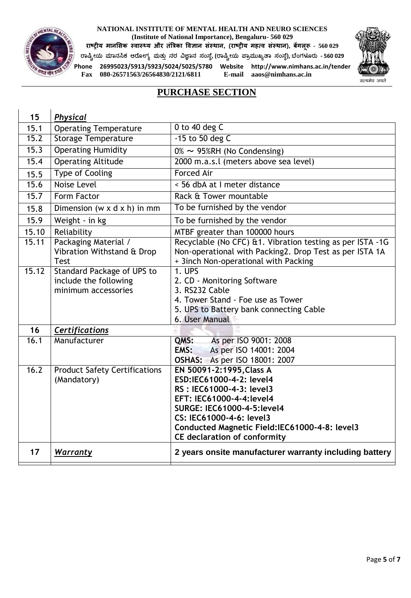

#### **NATIONAL INSTITUTE OF MENTAL HEALTH AND NEURO SCIENCES**

**(Institute of National Importance), Bengaluru- 560 029**

**राष्ट्रीय मानसिक स्वास््य और तंत्रिका ववज्ञान िंस्थान, (राष्ट्रीय महत्व िंस्थान), बेंगलूरू - 560 029 ರಾಷ್ಟ್ರೀಯ ಮಾನಸಿಕ ಆರ ೀಗ್ಯ ಮತ್ತುನರ ವಿಜ್ಞಾನ ಸಂಸ್ ೆ, (ರಾಷ್ಟ್ರೀಯ ಪ್ಾಾಮತಖ್ಯತಾ ಸಂಸ್ ೆ), ಬ ಂಗ್ಳೂರತ - 560 029**



**Phone 26995023/5913/5923/5024/5025/5780 Website http://www.nimhans.ac.in/tender Fax** 080-26571563/26564830/2121/6811

| 15    | <b>Physical</b>                                                                   |                                                                                                                                                                                                                                                                         |
|-------|-----------------------------------------------------------------------------------|-------------------------------------------------------------------------------------------------------------------------------------------------------------------------------------------------------------------------------------------------------------------------|
| 15.1  | <b>Operating Temperature</b>                                                      | 0 to 40 deg C                                                                                                                                                                                                                                                           |
| 15.2  | <b>Storage Temperature</b>                                                        | $-15$ to 50 deg C                                                                                                                                                                                                                                                       |
| 15.3  | <b>Operating Humidity</b>                                                         | $0\% \sim 95\%$ RH (No Condensing)                                                                                                                                                                                                                                      |
| 15.4  | <b>Operating Altitude</b>                                                         | 2000 m.a.s.l (meters above sea level)                                                                                                                                                                                                                                   |
| 15.5  | <b>Type of Cooling</b>                                                            | Forced Air                                                                                                                                                                                                                                                              |
| 15.6  | Noise Level                                                                       | < 56 dbA at I meter distance                                                                                                                                                                                                                                            |
| 15.7  | <b>Form Factor</b>                                                                | Rack & Tower mountable                                                                                                                                                                                                                                                  |
| 15.8  | Dimension ( $w \times d \times h$ ) in mm                                         | To be furnished by the vendor                                                                                                                                                                                                                                           |
| 15.9  | Weight - in kg                                                                    | To be furnished by the vendor                                                                                                                                                                                                                                           |
| 15.10 | Reliability                                                                       | MTBF greater than 100000 hours                                                                                                                                                                                                                                          |
| 15.11 | Packaging Material /<br>Vibration Withstand & Drop<br><b>Test</b>                 | Recyclable (No CFC) &1. Vibration testing as per ISTA -1G<br>Non-operational with Packing2. Drop Test as per ISTA 1A<br>+ 3inch Non-operational with Packing                                                                                                            |
| 15.12 | <b>Standard Package of UPS to</b><br>include the following<br>minimum accessories | 1. UPS<br>2. CD - Monitoring Software<br>3. RS232 Cable<br>4. Tower Stand - Foe use as Tower<br>5. UPS to Battery bank connecting Cable<br>6. User Manual                                                                                                               |
| 16    | Certifications                                                                    |                                                                                                                                                                                                                                                                         |
| 16.1  | Manufacturer                                                                      | QMS:<br>As per ISO 9001: 2008<br>EMS:<br>As per ISO 14001: 2004<br>OSHAS: As per ISO 18001: 2007                                                                                                                                                                        |
| 16.2  | <b>Product Safety Certifications</b><br>(Mandatory)                               | EN 50091-2:1995, Class A<br>ESD:IEC61000-4-2: level4<br>RS: IEC61000-4-3: level3<br>EFT: IEC61000-4-4: level4<br><b>SURGE: IEC61000-4-5:level4</b><br>CS: IEC61000-4-6: level3<br>Conducted Magnetic Field: IEC61000-4-8: level3<br><b>CE declaration of conformity</b> |
| 17    | <b>Warranty</b>                                                                   | 2 years onsite manufacturer warranty including battery                                                                                                                                                                                                                  |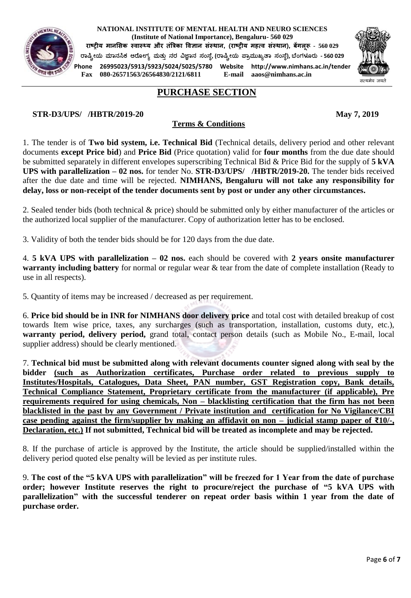

**NATIONAL INSTITUTE OF MENTAL HEALTH AND NEURO SCIENCES (Institute of National Importance), Bengaluru- 560 029 राष्ट्रीय मानसिक स्वास््य और तंत्रिका ववज्ञान िंस्थान, (राष्ट्रीय महत्व िंस्थान), बेंगलूरू - 560 029 ರಾಷ್ಟ್ರೀಯ ಮಾನಸಿಕ ಆರ ೀಗ್ಯ ಮತ್ತುನರ ವಿಜ್ಞಾನ ಸಂಸ್ ೆ, (ರಾಷ್ಟ್ರೀಯ ಪ್ಾಾಮತಖ್ಯತಾ ಸಂಸ್ ೆ), ಬ ಂಗ್ಳೂರತ - 560 029 Phone 26995023/5913/5923/5024/5025/5780 Website http://www.nimhans.ac.in/tender Fax** 080-26571563/26564830/2121/6811 **E-mail** 



### **PURCHASE SECTION**

**STR-D3/UPS/ /HBTR/2019-20 May 7, 2019** 

### **Terms & Conditions**

1. The tender is of **Two bid system, i.e. Technical Bid** (Technical details, delivery period and other relevant documents **except Price bid**) and **Price Bid** (Price quotation) valid for **four months** from the due date should be submitted separately in different envelopes superscribing Technical Bid & Price Bid for the supply of **5 kVA UPS with parallelization – 02 nos.** for tender No. **STR-D3/UPS/ /HBTR/2019-20.** The tender bids received after the due date and time will be rejected. **NIMHANS, Bengaluru will not take any responsibility for delay, loss or non-receipt of the tender documents sent by post or under any other circumstances.**

2. Sealed tender bids (both technical & price) should be submitted only by either manufacturer of the articles or the authorized local supplier of the manufacturer. Copy of authorization letter has to be enclosed.

3. Validity of both the tender bids should be for 120 days from the due date.

4. **5 kVA UPS with parallelization – 02 nos.** each should be covered with **2 years onsite manufacturer warranty including battery** for normal or regular wear & tear from the date of complete installation (Ready to use in all respects).

5. Quantity of items may be increased / decreased as per requirement.

6. **Price bid should be in INR for NIMHANS door delivery price** and total cost with detailed breakup of cost towards Item wise price, taxes, any surcharges (such as transportation, installation, customs duty, etc.), **warranty period, delivery period,** grand total, contact person details (such as Mobile No., E-mail, local supplier address) should be clearly mentioned.

7. **Technical bid must be submitted along with relevant documents counter signed along with seal by the bidder (such as Authorization certificates, Purchase order related to previous supply to Institutes/Hospitals, Catalogues, Data Sheet, PAN number, GST Registration copy, Bank details, Technical Compliance Statement, Proprietary certificate from the manufacturer (if applicable), Pre requirements required for using chemicals, Non – blacklisting certification that the firm has not been blacklisted in the past by any Government / Private institution and certification for No Vigilance/CBI case pending against the firm/supplier by making an affidavit on non – judicial stamp paper of ₹10/-, Declaration, etc.) If not submitted, Technical bid will be treated as incomplete and may be rejected.** 

8. If the purchase of article is approved by the Institute, the article should be supplied/installed within the delivery period quoted else penalty will be levied as per institute rules.

9. **The cost of the "5 kVA UPS with parallelization" will be freezed for 1 Year from the date of purchase order; however Institute reserves the right to procure/reject the purchase of "5 kVA UPS with parallelization" with the successful tenderer on repeat order basis within 1 year from the date of purchase order.**